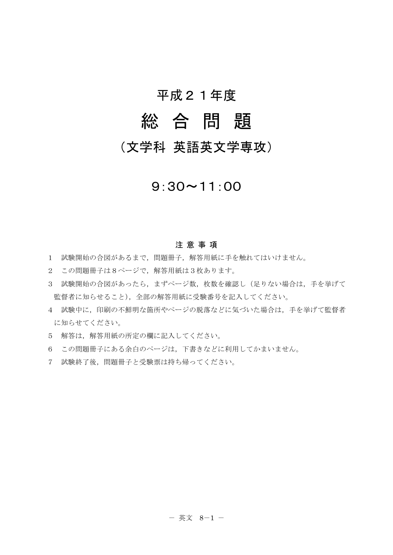## 平成21年度

# 総 合 問 題

### (文学科 英語英文学専攻)

#### 9:30~11:00

#### 注 意 事 項

- 1 試験開始の合図があるまで,問題冊子,解答用紙に手を触れてはいけません。
- 2 この問題冊子は8ページで,解答用紙は3枚あります。
- 3 試験開始の合図があったら,まずページ数,枚数を確認し(足りない場合は,手を挙げて 監督者に知らせること),全部の解答用紙に受験番号を記入してください。
- 4 試験中に,印刷の不鮮明な箇所やページの脱落などに気づいた場合は,手を挙げて監督者 に知らせてください。
- 5 解答は,解答用紙の所定の欄に記入してください。
- 6 この問題冊子にある余白のページは,下書きなどに利用してかまいません。
- 7 試験終了後,問題冊子と受験票は持ち帰ってください。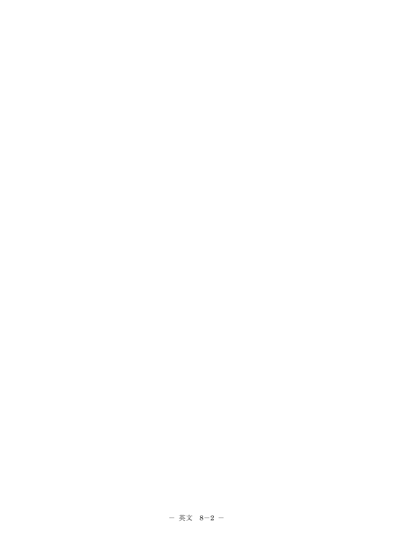- 英文 8-2 -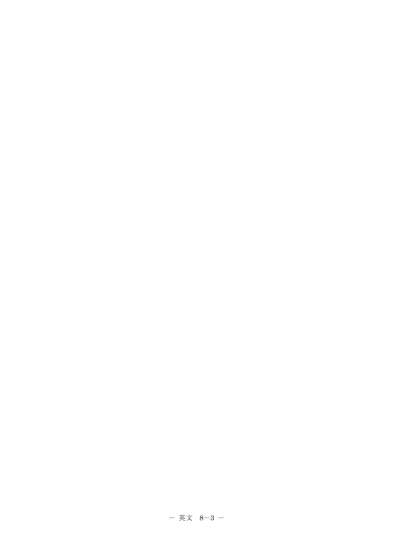- 英文 8-3 -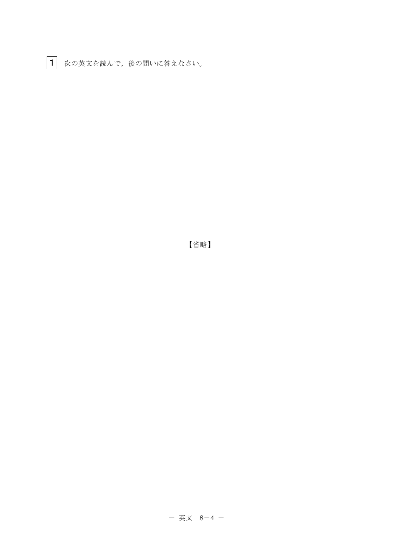1 次の英文を読んで,後の問いに答えなさい。

【省略】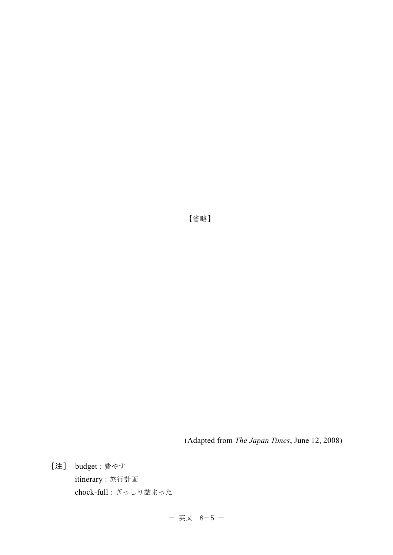【省略】

(Adapted from *The Japan Times*, June 12, 2008)

[注] budget:費やす

 itinerary:旅行計画 chock-full:ぎっしり詰まった

- 英文 8-5 -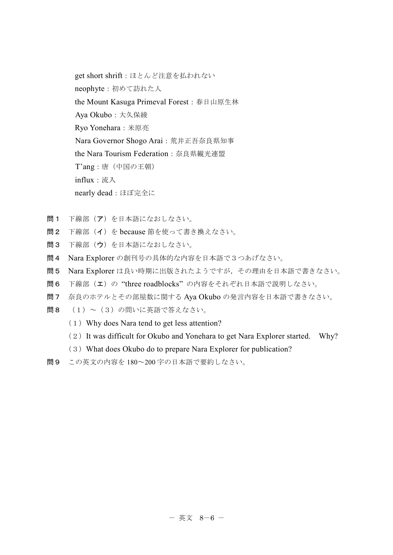get short shrift:ほとんど注意を払われない neophyte:初めて訪れた人 the Mount Kasuga Primeval Forest:春日山原生林 Aya Okubo:大久保綾 Ryo Yonehara:米原亮 Nara Governor Shogo Arai:荒井正吾奈良県知事 the Nara Tourism Federation:奈良県観光連盟 T'ang:唐(中国の王朝) influx:流入 nearly dead: ほぼ完全に

- 問1 下線部(ア)を日本語になおしなさい。
- 問2 下線部(イ)を because 節を使って書き換えなさい。
- 問3 下線部(ウ)を日本語になおしなさい。
- 問4 Nara Explorer の創刊号の具体的な内容を日本語で3つあげなさい。
- 問5 Nara Explorer は良い時期に出版されたようですが,その理由を日本語で書きなさい。
- 問6 下線部(エ)の "three roadblocks"の内容をそれぞれ日本語で説明しなさい。
- 問7 奈良のホテルとその部屋数に関する Aya Okubo の発言内容を日本語で書きなさい。
- 問8 (1) ~ (3)の問いに英語で答えなさい。
	- (1)Why does Nara tend to get less attention?
	- $(2)$  It was difficult for Okubo and Yonehara to get Nara Explorer started. Why?
	- (3)What does Okubo do to prepare Nara Explorer for publication?
- 問9 この英文の内容を 180~200 字の日本語で要約しなさい。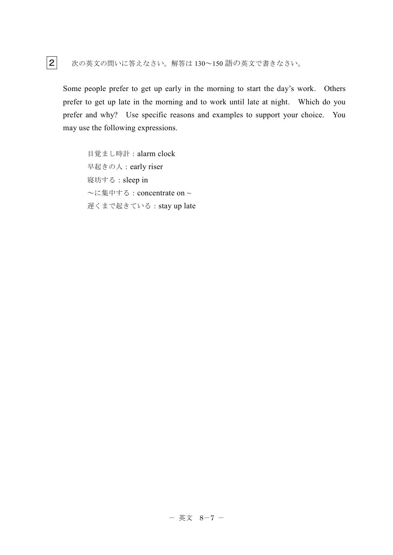2次の英文の問いに答えなさい。解答は 130~150 語の英文で書きなさい。

Some people prefer to get up early in the morning to start the day's work. Others prefer to get up late in the morning and to work until late at night. Which do you prefer and why? Use specific reasons and examples to support your choice. You may use the following expressions.

 目覚まし時計:alarm clock 早起きの人: early riser 寝坊する:sleep in ~に集中する:concentrate on ~ 遅くまで起きている: stay up late